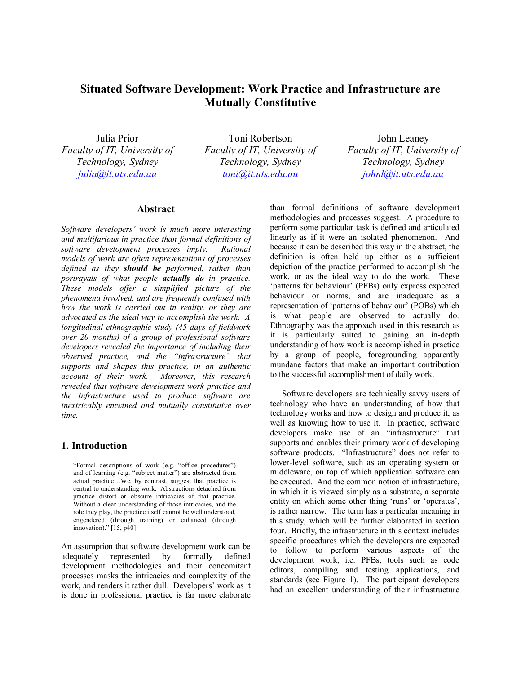# **Situated Software Development: Work Practice and Infrastructure are Mutually Constitutive**

Julia Prior *Faculty of IT, University of Technology, Sydney julia@it.uts.edu.au*

Toni Robertson *Faculty of IT, University of Technology, Sydney toni@it.uts.edu.au*

John Leaney *Faculty of IT, University of Technology, Sydney johnl@it.uts.edu.au*

#### **Abstract**

*Software developers' work is much more interesting and multifarious in practice than formal definitions of software development processes imply. Rational models of work are often representations of processes defined as they should be performed, rather than portrayals of what people actually do in practice. These models offer a simplified picture of the phenomena involved, and are frequently confused with how the work is carried out in reality, or they are advocated as the ideal way to accomplish the work. A longitudinal ethnographic study (45 days of fieldwork over 20 months) of a group of professional software developers revealed the importance of including their observed practice, and the "infrastructure" that supports and shapes this practice, in an authentic account of their work. Moreover, this research revealed that software development work practice and the infrastructure used to produce software are inextricably entwined and mutually constitutive over time.* 

### **1. Introduction**

"Formal descriptions of work (e.g. "office procedures") and of learning (e.g. "subject matter") are abstracted from actual practice…We, by contrast, suggest that practice is central to understanding work. Abstractions detached from practice distort or obscure intricacies of that practice. Without a clear understanding of those intricacies, and the role they play, the practice itself cannot be well understood, engendered (through training) or enhanced (through innovation)." [15, p40]

An assumption that software development work can be adequately represented by formally defined development methodologies and their concomitant processes masks the intricacies and complexity of the work, and renders it rather dull. Developers' work as it is done in professional practice is far more elaborate than formal definitions of software development methodologies and processes suggest. A procedure to perform some particular task is defined and articulated linearly as if it were an isolated phenomenon. And because it can be described this way in the abstract, the definition is often held up either as a sufficient depiction of the practice performed to accomplish the work, or as the ideal way to do the work. These 'patterns for behaviour' (PFBs) only express expected behaviour or norms, and are inadequate as a representation of 'patterns of behaviour' (POBs) which is what people are observed to actually do. Ethnography was the approach used in this research as it is particularly suited to gaining an in-depth understanding of how work is accomplished in practice by a group of people, foregrounding apparently mundane factors that make an important contribution to the successful accomplishment of daily work.

Software developers are technically savvy users of technology who have an understanding of how that technology works and how to design and produce it, as well as knowing how to use it. In practice, software developers make use of an "infrastructure" that supports and enables their primary work of developing software products. "Infrastructure" does not refer to lower-level software, such as an operating system or middleware, on top of which application software can be executed. And the common notion of infrastructure, in which it is viewed simply as a substrate, a separate entity on which some other thing 'runs' or 'operates', is rather narrow. The term has a particular meaning in this study, which will be further elaborated in section four. Briefly, the infrastructure in this context includes specific procedures which the developers are expected to follow to perform various aspects of the development work, i.e. PFBs, tools such as code editors, compiling and testing applications, and standards (see Figure 1). The participant developers had an excellent understanding of their infrastructure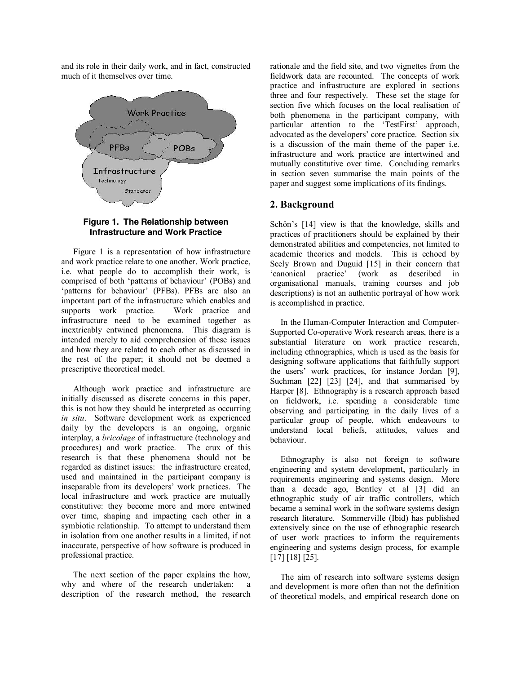and its role in their daily work, and in fact, constructed much of it themselves over time.



### **Figure 1. The Relationship between Infrastructure and Work Practice**

Figure 1 is a representation of how infrastructure and work practice relate to one another. Work practice, i.e. what people do to accomplish their work, is comprised of both 'patterns of behaviour' (POBs) and 'patterns for behaviour' (PFBs). PFBs are also an important part of the infrastructure which enables and supports work practice. Work practice and infrastructure need to be examined together as inextricably entwined phenomena. This diagram is intended merely to aid comprehension of these issues and how they are related to each other as discussed in the rest of the paper; it should not be deemed a prescriptive theoretical model.

Although work practice and infrastructure are initially discussed as discrete concerns in this paper, this is not how they should be interpreted as occurring *in situ*. Software development work as experienced daily by the developers is an ongoing, organic interplay, a *bricolage* of infrastructure (technology and procedures) and work practice. The crux of this research is that these phenomena should not be regarded as distinct issues: the infrastructure created, used and maintained in the participant company is inseparable from its developers' work practices. The local infrastructure and work practice are mutually constitutive: they become more and more entwined over time, shaping and impacting each other in a symbiotic relationship. To attempt to understand them in isolation from one another results in a limited, if not inaccurate, perspective of how software is produced in professional practice.

The next section of the paper explains the how, why and where of the research undertaken: a description of the research method, the research rationale and the field site, and two vignettes from the fieldwork data are recounted. The concepts of work practice and infrastructure are explored in sections three and four respectively. These set the stage for section five which focuses on the local realisation of both phenomena in the participant company, with particular attention to the 'TestFirst' approach, advocated as the developers' core practice. Section six is a discussion of the main theme of the paper i.e. infrastructure and work practice are intertwined and mutually constitutive over time. Concluding remarks in section seven summarise the main points of the paper and suggest some implications of its findings.

### **2. Background**

Schön's [14] view is that the knowledge, skills and practices of practitioners should be explained by their demonstrated abilities and competencies, not limited to academic theories and models. This is echoed by Seely Brown and Duguid [15] in their concern that 'canonical practice' (work as described in organisational manuals, training courses and job descriptions) is not an authentic portrayal of how work is accomplished in practice.

In the Human-Computer Interaction and Computer-Supported Co-operative Work research areas, there is a substantial literature on work practice research, including ethnographies, which is used as the basis for designing software applications that faithfully support the users' work practices, for instance Jordan [9], Suchman [22] [23] [24], and that summarised by Harper [8]. Ethnography is a research approach based on fieldwork, i.e. spending a considerable time observing and participating in the daily lives of a particular group of people, which endeavours to understand local beliefs, attitudes, values and behaviour.

Ethnography is also not foreign to software engineering and system development, particularly in requirements engineering and systems design. More than a decade ago, Bentley et al [3] did an ethnographic study of air traffic controllers, which became a seminal work in the software systems design research literature. Sommerville (Ibid) has published extensively since on the use of ethnographic research of user work practices to inform the requirements engineering and systems design process, for example [17] [18] [25].

The aim of research into software systems design and development is more often than not the definition of theoretical models, and empirical research done on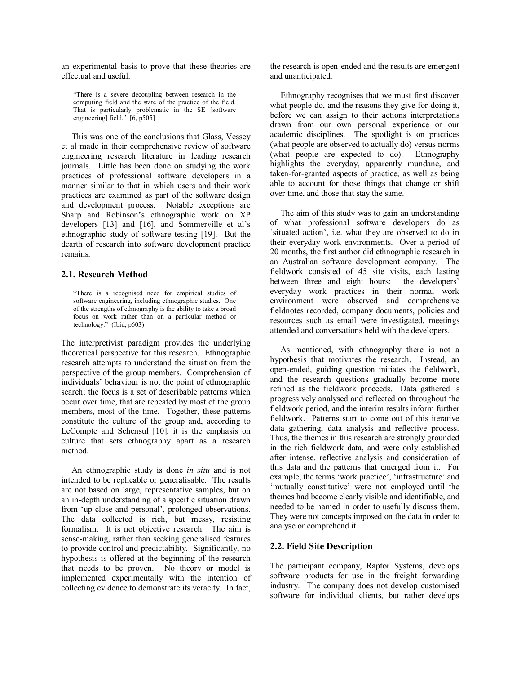an experimental basis to prove that these theories are effectual and useful.

"There is a severe decoupling between research in the computing field and the state of the practice of the field. That is particularly problematic in the SE [software engineering] field." [6, p505]

This was one of the conclusions that Glass, Vessey et al made in their comprehensive review of software engineering research literature in leading research journals. Little has been done on studying the work practices of professional software developers in a manner similar to that in which users and their work practices are examined as part of the software design and development process. Notable exceptions are Sharp and Robinson's ethnographic work on XP developers [13] and [16], and Sommerville et al's ethnographic study of software testing [19]. But the dearth of research into software development practice remains.

### **2.1. Research Method**

"There is a recognised need for empirical studies of software engineering, including ethnographic studies. One of the strengths of ethnography is the ability to take a broad focus on work rather than on a particular method or technology." (Ibid, p603)

The interpretivist paradigm provides the underlying theoretical perspective for this research. Ethnographic research attempts to understand the situation from the perspective of the group members. Comprehension of individuals' behaviour is not the point of ethnographic search; the focus is a set of describable patterns which occur over time, that are repeated by most of the group members, most of the time. Together, these patterns constitute the culture of the group and, according to LeCompte and Schensul [10], it is the emphasis on culture that sets ethnography apart as a research method.

An ethnographic study is done *in situ* and is not intended to be replicable or generalisable. The results are not based on large, representative samples, but on an in-depth understanding of a specific situation drawn from 'up-close and personal', prolonged observations. The data collected is rich, but messy, resisting formalism. It is not objective research. The aim is sense-making, rather than seeking generalised features to provide control and predictability. Significantly, no hypothesis is offered at the beginning of the research that needs to be proven. No theory or model is implemented experimentally with the intention of collecting evidence to demonstrate its veracity. In fact,

the research is open-ended and the results are emergent and unanticipated.

Ethnography recognises that we must first discover what people do, and the reasons they give for doing it, before we can assign to their actions interpretations drawn from our own personal experience or our academic disciplines. The spotlight is on practices (what people are observed to actually do) versus norms (what people are expected to do). Ethnography highlights the everyday, apparently mundane, and taken-for-granted aspects of practice, as well as being able to account for those things that change or shift over time, and those that stay the same.

The aim of this study was to gain an understanding of what professional software developers do as 'situated action', i.e. what they are observed to do in their everyday work environments. Over a period of 20 months, the first author did ethnographic research in an Australian software development company. The fieldwork consisted of 45 site visits, each lasting between three and eight hours: the developers' everyday work practices in their normal work environment were observed and comprehensive fieldnotes recorded, company documents, policies and resources such as email were investigated, meetings attended and conversations held with the developers.

As mentioned, with ethnography there is not a hypothesis that motivates the research. Instead, an open-ended, guiding question initiates the fieldwork, and the research questions gradually become more refined as the fieldwork proceeds. Data gathered is progressively analysed and reflected on throughout the fieldwork period, and the interim results inform further fieldwork. Patterns start to come out of this iterative data gathering, data analysis and reflective process. Thus, the themes in this research are strongly grounded in the rich fieldwork data, and were only established after intense, reflective analysis and consideration of this data and the patterns that emerged from it. For example, the terms 'work practice', 'infrastructure' and 'mutually constitutive' were not employed until the themes had become clearly visible and identifiable, and needed to be named in order to usefully discuss them. They were not concepts imposed on the data in order to analyse or comprehend it.

#### **2.2. Field Site Description**

The participant company, Raptor Systems, develops software products for use in the freight forwarding industry. The company does not develop customised software for individual clients, but rather develops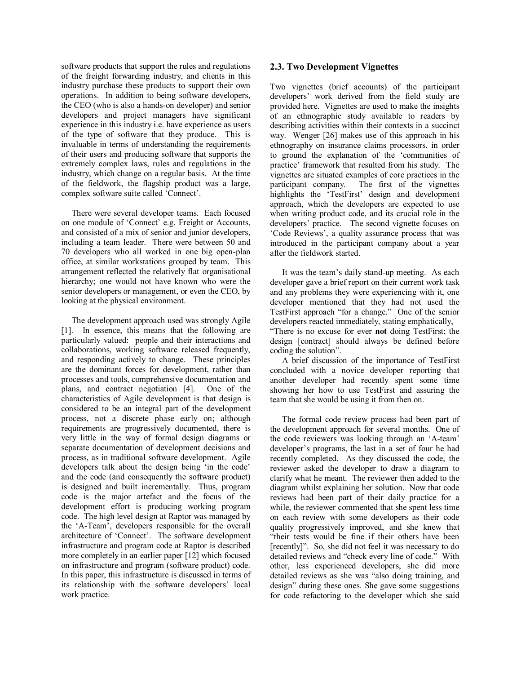software products that support the rules and regulations of the freight forwarding industry, and clients in this industry purchase these products to support their own operations. In addition to being software developers, the CEO (who is also a hands-on developer) and senior developers and project managers have significant experience in this industry i.e. have experience as users of the type of software that they produce. This is invaluable in terms of understanding the requirements of their users and producing software that supports the extremely complex laws, rules and regulations in the industry, which change on a regular basis. At the time of the fieldwork, the flagship product was a large, complex software suite called 'Connect'.

There were several developer teams. Each focused on one module of 'Connect' e.g. Freight or Accounts, and consisted of a mix of senior and junior developers, including a team leader. There were between 50 and 70 developers who all worked in one big open-plan office, at similar workstations grouped by team. This arrangement reflected the relatively flat organisational hierarchy; one would not have known who were the senior developers or management, or even the CEO, by looking at the physical environment.

The development approach used was strongly Agile [1]. In essence, this means that the following are particularly valued: people and their interactions and collaborations, working software released frequently, and responding actively to change. These principles are the dominant forces for development, rather than processes and tools, comprehensive documentation and plans, and contract negotiation [4]. One of the characteristics of Agile development is that design is considered to be an integral part of the development process, not a discrete phase early on; although requirements are progressively documented, there is very little in the way of formal design diagrams or separate documentation of development decisions and process, as in traditional software development. Agile developers talk about the design being 'in the code' and the code (and consequently the software product) is designed and built incrementally. Thus, program code is the major artefact and the focus of the development effort is producing working program code. The high level design at Raptor was managed by the 'A-Team', developers responsible for the overall architecture of 'Connect'. The software development infrastructure and program code at Raptor is described more completely in an earlier paper [12] which focused on infrastructure and program (software product) code. In this paper, this infrastructure is discussed in terms of its relationship with the software developers' local work practice.

#### **2.3. Two Development Vignettes**

Two vignettes (brief accounts) of the participant developers' work derived from the field study are provided here. Vignettes are used to make the insights of an ethnographic study available to readers by describing activities within their contexts in a succinct way. Wenger [26] makes use of this approach in his ethnography on insurance claims processors, in order to ground the explanation of the 'communities of practice' framework that resulted from his study. The vignettes are situated examples of core practices in the participant company. The first of the vignettes highlights the 'TestFirst' design and development approach, which the developers are expected to use when writing product code, and its crucial role in the developers' practice. The second vignette focuses on 'Code Reviews', a quality assurance process that was introduced in the participant company about a year after the fieldwork started.

It was the team's daily stand-up meeting. As each developer gave a brief report on their current work task and any problems they were experiencing with it, one developer mentioned that they had not used the TestFirst approach "for a change." One of the senior developers reacted immediately, stating emphatically,

"There is no excuse for ever **not** doing TestFirst; the design [contract] should always be defined before coding the solution".

A brief discussion of the importance of TestFirst concluded with a novice developer reporting that another developer had recently spent some time showing her how to use TestFirst and assuring the team that she would be using it from then on.

The formal code review process had been part of the development approach for several months. One of the code reviewers was looking through an 'A-team' developer's programs, the last in a set of four he had recently completed. As they discussed the code, the reviewer asked the developer to draw a diagram to clarify what he meant. The reviewer then added to the diagram whilst explaining her solution. Now that code reviews had been part of their daily practice for a while, the reviewer commented that she spent less time on each review with some developers as their code quality progressively improved, and she knew that "their tests would be fine if their others have been [recently]". So, she did not feel it was necessary to do detailed reviews and "check every line of code." With other, less experienced developers, she did more detailed reviews as she was "also doing training, and design" during these ones. She gave some suggestions for code refactoring to the developer which she said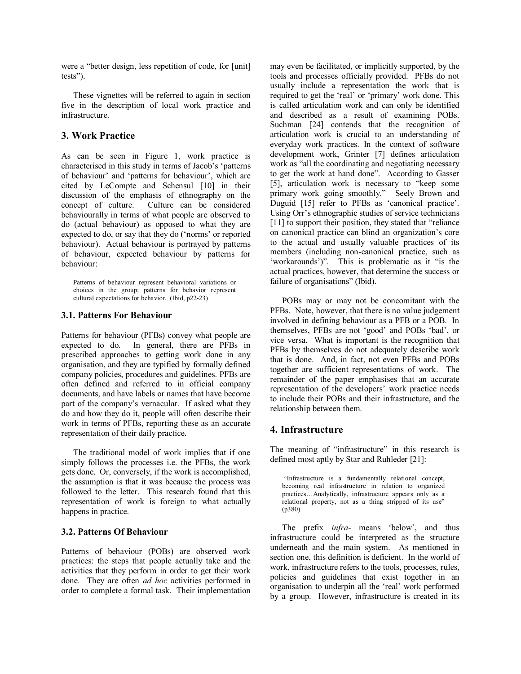were a "better design, less repetition of code, for [unit] tests").

These vignettes will be referred to again in section five in the description of local work practice and infrastructure.

### **3. Work Practice**

As can be seen in Figure 1, work practice is characterised in this study in terms of Jacob's 'patterns of behaviour' and 'patterns for behaviour', which are cited by LeCompte and Schensul [10] in their discussion of the emphasis of ethnography on the concept of culture. Culture can be considered behaviourally in terms of what people are observed to do (actual behaviour) as opposed to what they are expected to do, or say that they do ('norms' or reported behaviour). Actual behaviour is portrayed by patterns of behaviour, expected behaviour by patterns for behaviour:

Patterns of behaviour represent behavioral variations or choices in the group; patterns for behavior represent cultural expectations for behavior. (Ibid, p22-23)

### **3.1. Patterns For Behaviour**

Patterns for behaviour (PFBs) convey what people are expected to do. In general, there are PFBs in prescribed approaches to getting work done in any organisation, and they are typified by formally defined company policies, procedures and guidelines. PFBs are often defined and referred to in official company documents, and have labels or names that have become part of the company's vernacular. If asked what they do and how they do it, people will often describe their work in terms of PFBs, reporting these as an accurate representation of their daily practice.

The traditional model of work implies that if one simply follows the processes i.e. the PFBs, the work gets done. Or, conversely, if the work is accomplished, the assumption is that it was because the process was followed to the letter. This research found that this representation of work is foreign to what actually happens in practice.

### **3.2. Patterns Of Behaviour**

Patterns of behaviour (POBs) are observed work practices: the steps that people actually take and the activities that they perform in order to get their work done. They are often *ad hoc* activities performed in order to complete a formal task. Their implementation may even be facilitated, or implicitly supported, by the tools and processes officially provided. PFBs do not usually include a representation the work that is required to get the 'real' or 'primary' work done. This is called articulation work and can only be identified and described as a result of examining POBs. Suchman [24] contends that the recognition of articulation work is crucial to an understanding of everyday work practices. In the context of software development work, Grinter [7] defines articulation work as "all the coordinating and negotiating necessary to get the work at hand done". According to Gasser [5], articulation work is necessary to "keep some primary work going smoothly." Seely Brown and Duguid [15] refer to PFBs as 'canonical practice'. Using Orr's ethnographic studies of service technicians [11] to support their position, they stated that "reliance" on canonical practice can blind an organization's core to the actual and usually valuable practices of its members (including non-canonical practice, such as 'workarounds')". This is problematic as it "is the actual practices, however, that determine the success or failure of organisations" (Ibid).

POBs may or may not be concomitant with the PFBs. Note, however, that there is no value judgement involved in defining behaviour as a PFB or a POB. In themselves, PFBs are not 'good' and POBs 'bad', or vice versa. What is important is the recognition that PFBs by themselves do not adequately describe work that is done. And, in fact, not even PFBs and POBs together are sufficient representations of work. The remainder of the paper emphasises that an accurate representation of the developers' work practice needs to include their POBs and their infrastructure, and the relationship between them.

### **4. Infrastructure**

The meaning of "infrastructure" in this research is defined most aptly by Star and Ruhleder [21]:

 "Infrastructure is a fundamentally relational concept, becoming real infrastructure in relation to organized practices…Analytically, infrastructure appears only as a relational property, not as a thing stripped of its use" (p380)

The prefix *infra-* means 'below', and thus infrastructure could be interpreted as the structure underneath and the main system. As mentioned in section one, this definition is deficient. In the world of work, infrastructure refers to the tools, processes, rules, policies and guidelines that exist together in an organisation to underpin all the 'real' work performed by a group. However, infrastructure is created in its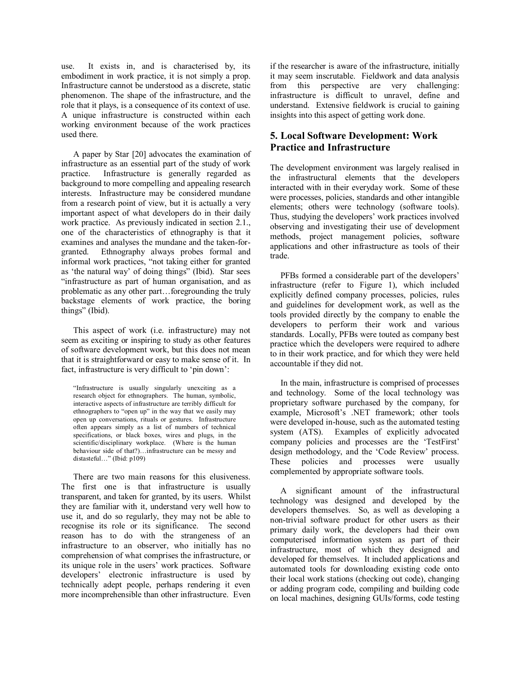use. It exists in, and is characterised by, its embodiment in work practice, it is not simply a prop. Infrastructure cannot be understood as a discrete, static phenomenon. The shape of the infrastructure, and the role that it plays, is a consequence of its context of use. A unique infrastructure is constructed within each working environment because of the work practices used there.

A paper by Star [20] advocates the examination of infrastructure as an essential part of the study of work practice. Infrastructure is generally regarded as background to more compelling and appealing research interests. Infrastructure may be considered mundane from a research point of view, but it is actually a very important aspect of what developers do in their daily work practice. As previously indicated in section 2.1., one of the characteristics of ethnography is that it examines and analyses the mundane and the taken-forgranted. Ethnography always probes formal and informal work practices, "not taking either for granted as 'the natural way' of doing things" (Ibid). Star sees "infrastructure as part of human organisation, and as problematic as any other part…foregrounding the truly backstage elements of work practice, the boring things" (Ibid).

This aspect of work (i.e. infrastructure) may not seem as exciting or inspiring to study as other features of software development work, but this does not mean that it is straightforward or easy to make sense of it. In fact, infrastructure is very difficult to 'pin down':

"Infrastructure is usually singularly unexciting as a research object for ethnographers. The human, symbolic, interactive aspects of infrastructure are terribly difficult for ethnographers to "open up" in the way that we easily may open up conversations, rituals or gestures. Infrastructure often appears simply as a list of numbers of technical specifications, or black boxes, wires and plugs, in the scientific/disciplinary workplace. (Where is the human behaviour side of that?)…infrastructure can be messy and distasteful…" (Ibid: p109)

There are two main reasons for this elusiveness. The first one is that infrastructure is usually transparent, and taken for granted, by its users. Whilst they are familiar with it, understand very well how to use it, and do so regularly, they may not be able to recognise its role or its significance. The second reason has to do with the strangeness of an infrastructure to an observer, who initially has no comprehension of what comprises the infrastructure, or its unique role in the users' work practices. Software developers' electronic infrastructure is used by technically adept people, perhaps rendering it even more incomprehensible than other infrastructure. Even

if the researcher is aware of the infrastructure, initially it may seem inscrutable. Fieldwork and data analysis from this perspective are very challenging: infrastructure is difficult to unravel, define and understand. Extensive fieldwork is crucial to gaining insights into this aspect of getting work done.

## **5. Local Software Development: Work Practice and Infrastructure**

The development environment was largely realised in the infrastructural elements that the developers interacted with in their everyday work. Some of these were processes, policies, standards and other intangible elements; others were technology (software tools). Thus, studying the developers' work practices involved observing and investigating their use of development methods, project management policies, software applications and other infrastructure as tools of their trade.

PFBs formed a considerable part of the developers' infrastructure (refer to Figure 1), which included explicitly defined company processes, policies, rules and guidelines for development work, as well as the tools provided directly by the company to enable the developers to perform their work and various standards. Locally, PFBs were touted as company best practice which the developers were required to adhere to in their work practice, and for which they were held accountable if they did not.

In the main, infrastructure is comprised of processes and technology. Some of the local technology was proprietary software purchased by the company, for example, Microsoft's .NET framework; other tools were developed in-house, such as the automated testing system (ATS). Examples of explicitly advocated company policies and processes are the 'TestFirst' design methodology, and the 'Code Review' process. These policies and processes were usually complemented by appropriate software tools.

A significant amount of the infrastructural technology was designed and developed by the developers themselves. So, as well as developing a non-trivial software product for other users as their primary daily work, the developers had their own computerised information system as part of their infrastructure, most of which they designed and developed for themselves. It included applications and automated tools for downloading existing code onto their local work stations (checking out code), changing or adding program code, compiling and building code on local machines, designing GUIs/forms, code testing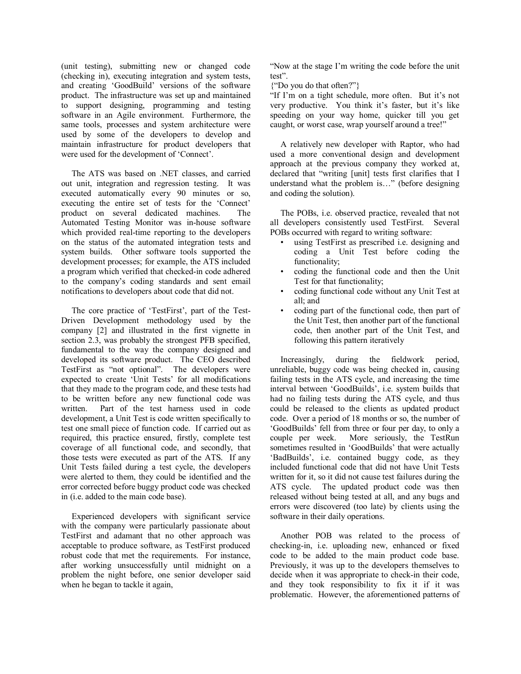(unit testing), submitting new or changed code (checking in), executing integration and system tests, and creating 'GoodBuild' versions of the software product. The infrastructure was set up and maintained to support designing, programming and testing software in an Agile environment. Furthermore, the same tools, processes and system architecture were used by some of the developers to develop and maintain infrastructure for product developers that were used for the development of 'Connect'.

The ATS was based on .NET classes, and carried out unit, integration and regression testing. It was executed automatically every 90 minutes or so, executing the entire set of tests for the 'Connect' product on several dedicated machines. The Automated Testing Monitor was in-house software which provided real-time reporting to the developers on the status of the automated integration tests and system builds. Other software tools supported the development processes; for example, the ATS included a program which verified that checked-in code adhered to the company's coding standards and sent email notifications to developers about code that did not.

The core practice of 'TestFirst', part of the Test-Driven Development methodology used by the company [2] and illustrated in the first vignette in section 2.3, was probably the strongest PFB specified, fundamental to the way the company designed and developed its software product. The CEO described TestFirst as "not optional". The developers were expected to create 'Unit Tests' for all modifications that they made to the program code, and these tests had to be written before any new functional code was written. Part of the test harness used in code development, a Unit Test is code written specifically to test one small piece of function code. If carried out as required, this practice ensured, firstly, complete test coverage of all functional code, and secondly, that those tests were executed as part of the ATS. If any Unit Tests failed during a test cycle, the developers were alerted to them, they could be identified and the error corrected before buggy product code was checked in (i.e. added to the main code base).

Experienced developers with significant service with the company were particularly passionate about TestFirst and adamant that no other approach was acceptable to produce software, as TestFirst produced robust code that met the requirements. For instance, after working unsuccessfully until midnight on a problem the night before, one senior developer said when he began to tackle it again,

"Now at the stage I'm writing the code before the unit test".

{"Do you do that often?"}

"If I'm on a tight schedule, more often. But it's not very productive. You think it's faster, but it's like speeding on your way home, quicker till you get caught, or worst case, wrap yourself around a tree!"

A relatively new developer with Raptor, who had used a more conventional design and development approach at the previous company they worked at, declared that "writing [unit] tests first clarifies that I understand what the problem is…" (before designing and coding the solution).

The POBs, i.e. observed practice, revealed that not all developers consistently used TestFirst. Several POBs occurred with regard to writing software:

- using TestFirst as prescribed i.e. designing and coding a Unit Test before coding the functionality;
- coding the functional code and then the Unit Test for that functionality;
- coding functional code without any Unit Test at all; and
- coding part of the functional code, then part of the Unit Test, then another part of the functional code, then another part of the Unit Test, and following this pattern iteratively

Increasingly, during the fieldwork period, unreliable, buggy code was being checked in, causing failing tests in the ATS cycle, and increasing the time interval between 'GoodBuilds', i.e. system builds that had no failing tests during the ATS cycle, and thus could be released to the clients as updated product code. Over a period of 18 months or so, the number of 'GoodBuilds' fell from three or four per day, to only a couple per week. More seriously, the TestRun sometimes resulted in 'GoodBuilds' that were actually 'BadBuilds', i.e. contained buggy code, as they included functional code that did not have Unit Tests written for it, so it did not cause test failures during the ATS cycle. The updated product code was then released without being tested at all, and any bugs and errors were discovered (too late) by clients using the software in their daily operations.

Another POB was related to the process of checking-in, i.e. uploading new, enhanced or fixed code to be added to the main product code base. Previously, it was up to the developers themselves to decide when it was appropriate to check-in their code, and they took responsibility to fix it if it was problematic. However, the aforementioned patterns of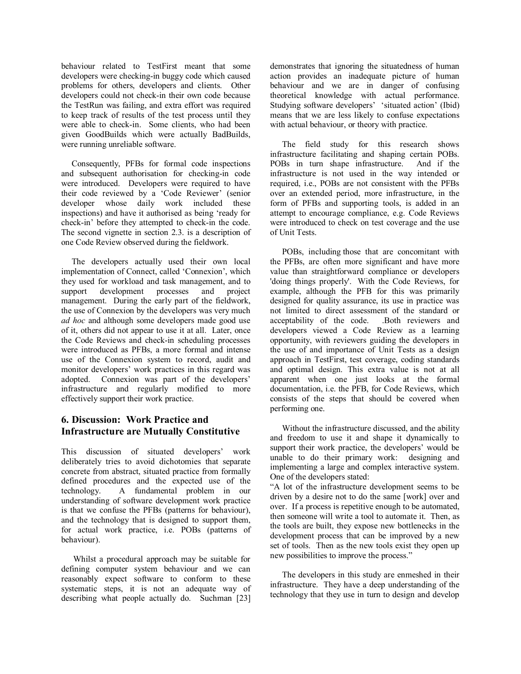behaviour related to TestFirst meant that some developers were checking-in buggy code which caused problems for others, developers and clients. Other developers could not check-in their own code because the TestRun was failing, and extra effort was required to keep track of results of the test process until they were able to check-in. Some clients, who had been given GoodBuilds which were actually BadBuilds, were running unreliable software.

Consequently, PFBs for formal code inspections and subsequent authorisation for checking-in code were introduced. Developers were required to have their code reviewed by a 'Code Reviewer' (senior developer whose daily work included these inspections) and have it authorised as being 'ready for check-in' before they attempted to check-in the code. The second vignette in section 2.3. is a description of one Code Review observed during the fieldwork.

The developers actually used their own local implementation of Connect, called 'Connexion', which they used for workload and task management, and to support development processes and project management. During the early part of the fieldwork, the use of Connexion by the developers was very much *ad hoc* and although some developers made good use of it, others did not appear to use it at all. Later, once the Code Reviews and check-in scheduling processes were introduced as PFBs, a more formal and intense use of the Connexion system to record, audit and monitor developers' work practices in this regard was adopted. Connexion was part of the developers' infrastructure and regularly modified to more effectively support their work practice.

### **6. Discussion: Work Practice and Infrastructure are Mutually Constitutive**

This discussion of situated developers' work deliberately tries to avoid dichotomies that separate concrete from abstract, situated practice from formally defined procedures and the expected use of the technology. A fundamental problem in our understanding of software development work practice is that we confuse the PFBs (patterns for behaviour), and the technology that is designed to support them, for actual work practice, i.e. POBs (patterns of behaviour).

Whilst a procedural approach may be suitable for defining computer system behaviour and we can reasonably expect software to conform to these systematic steps, it is not an adequate way of describing what people actually do. Suchman [23] demonstrates that ignoring the situatedness of human action provides an inadequate picture of human behaviour and we are in danger of confusing theoretical knowledge with actual performance. Studying software developers' 'situated action' (Ibid) means that we are less likely to confuse expectations with actual behaviour, or theory with practice.

The field study for this research shows infrastructure facilitating and shaping certain POBs. POBs in turn shape infrastructure. And if the infrastructure is not used in the way intended or required, i.e., POBs are not consistent with the PFBs over an extended period, more infrastructure, in the form of PFBs and supporting tools, is added in an attempt to encourage compliance, e.g. Code Reviews were introduced to check on test coverage and the use of Unit Tests.

POBs, including those that are concomitant with the PFBs, are often more significant and have more value than straightforward compliance or developers 'doing things properly'. With the Code Reviews, for example, although the PFB for this was primarily designed for quality assurance, its use in practice was not limited to direct assessment of the standard or acceptability of the code. .Both reviewers and developers viewed a Code Review as a learning opportunity, with reviewers guiding the developers in the use of and importance of Unit Tests as a design approach in TestFirst, test coverage, coding standards and optimal design. This extra value is not at all apparent when one just looks at the formal documentation, i.e. the PFB, for Code Reviews, which consists of the steps that should be covered when performing one.

Without the infrastructure discussed, and the ability and freedom to use it and shape it dynamically to support their work practice, the developers' would be unable to do their primary work: designing and implementing a large and complex interactive system. One of the developers stated:

"A lot of the infrastructure development seems to be driven by a desire not to do the same [work] over and over. If a process is repetitive enough to be automated, then someone will write a tool to automate it. Then, as the tools are built, they expose new bottlenecks in the development process that can be improved by a new set of tools. Then as the new tools exist they open up new possibilities to improve the process."

The developers in this study are enmeshed in their infrastructure. They have a deep understanding of the technology that they use in turn to design and develop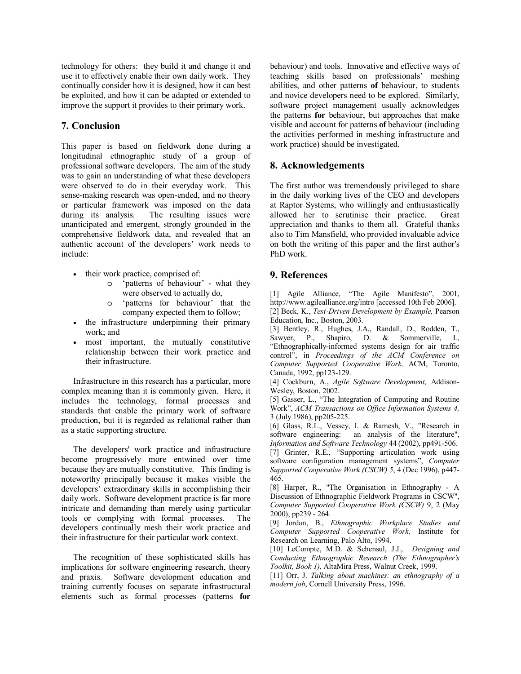technology for others: they build it and change it and use it to effectively enable their own daily work. They continually consider how it is designed, how it can best be exploited, and how it can be adapted or extended to improve the support it provides to their primary work.

## **7. Conclusion**

This paper is based on fieldwork done during a longitudinal ethnographic study of a group of professional software developers. The aim of the study was to gain an understanding of what these developers were observed to do in their everyday work. This sense-making research was open-ended, and no theory or particular framework was imposed on the data during its analysis. The resulting issues were unanticipated and emergent, strongly grounded in the comprehensive fieldwork data, and revealed that an authentic account of the developers' work needs to include:

- their work practice, comprised of:
	- o 'patterns of behaviour' what they were observed to actually do,
	- o 'patterns for behaviour' that the company expected them to follow;
- the infrastructure underpinning their primary work; and
- most important, the mutually constitutive relationship between their work practice and their infrastructure.

Infrastructure in this research has a particular, more complex meaning than it is commonly given. Here, it includes the technology, formal processes and standards that enable the primary work of software production, but it is regarded as relational rather than as a static supporting structure.

The developers' work practice and infrastructure become progressively more entwined over time because they are mutually constitutive. This finding is noteworthy principally because it makes visible the developers' extraordinary skills in accomplishing their daily work. Software development practice is far more intricate and demanding than merely using particular tools or complying with formal processes. The developers continually mesh their work practice and their infrastructure for their particular work context.

The recognition of these sophisticated skills has implications for software engineering research, theory and praxis. Software development education and training currently focuses on separate infrastructural elements such as formal processes (patterns **for** behaviour) and tools. Innovative and effective ways of teaching skills based on professionals' meshing abilities, and other patterns **of** behaviour, to students and novice developers need to be explored. Similarly, software project management usually acknowledges the patterns **for** behaviour, but approaches that make visible and account for patterns **of** behaviour (including the activities performed in meshing infrastructure and work practice) should be investigated.

## **8. Acknowledgements**

The first author was tremendously privileged to share in the daily working lives of the CEO and developers at Raptor Systems, who willingly and enthusiastically allowed her to scrutinise their practice. Great appreciation and thanks to them all. Grateful thanks also to Tim Mansfield, who provided invaluable advice on both the writing of this paper and the first author's PhD work.

## **9. References**

[1] Agile Alliance, "The Agile Manifesto", 2001, http://www.agilealliance.org/intro [accessed 10th Feb 2006].

[2] Beck, K., *Test-Driven Development by Example,* Pearson Education, Inc., Boston, 2003.

[3] Bentley, R., Hughes, J.A., Randall, D., Rodden, T., Sawyer, P., Shapiro, D. & Sommerville, I., "Ethnographically-informed systems design for air traffic control", in *Proceedings of the ACM Conference on Computer Supported Cooperative Work,* ACM, Toronto, Canada, 1992, pp123-129.

[4] Cockburn, A., *Agile Software Development,* Addison-Wesley, Boston, 2002.

[5] Gasser, L., "The Integration of Computing and Routine Work", *ACM Transactions on Office Information Systems 4,*  3 (July 1986), pp205-225.

[6] Glass, R.L., Vessey, I. & Ramesh, V., "Research in software engineering: an analysis of the literature", *Information and Software Technology* 44 (2002), pp491-506.

[7] Grinter, R.E., "Supporting articulation work using software configuration management systems", *Computer Supported Cooperative Work (CSCW) 5*, 4 (Dec 1996), p447- 465.

[8] Harper, R., "The Organisation in Ethnography - A Discussion of Ethnographic Fieldwork Programs in CSCW", *Computer Supported Cooperative Work (CSCW)* 9, 2 (May 2000), pp239 - 264.

[9] Jordan, B., *Ethnographic Workplace Studies and Computer Supported Cooperative Work,* Institute for Research on Learning, Palo Alto, 1994.

[10] LeCompte, M.D. & Schensul, J.J., *Designing and Conducting Ethnographic Research (The Ethnographer's Toolkit, Book 1)*, AltaMira Press, Walnut Creek, 1999.

[11] Orr, J. *Talking about machines: an ethnography of a modern job*, Cornell University Press, 1996.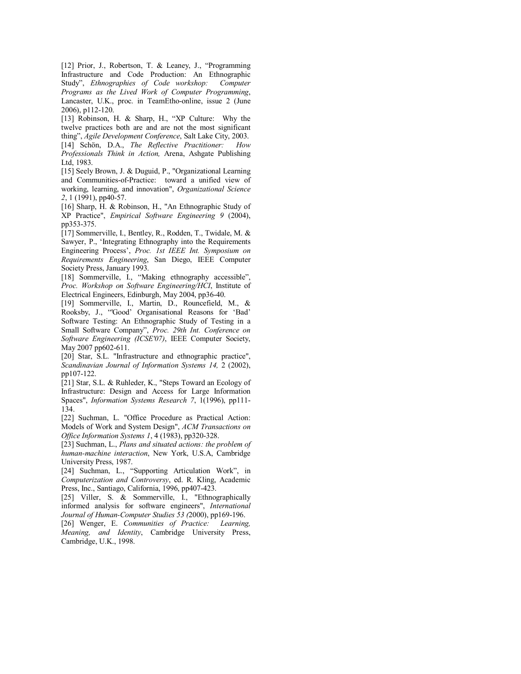[12] Prior, J., Robertson, T. & Leaney, J., "Programming Infrastructure and Code Production: An Ethnographic Study", *Ethnographies of Code workshop: Computer Programs as the Lived Work of Computer Programming*, Lancaster, U.K., proc. in TeamEtho-online, issue 2 (June 2006), p112-120.

[13] Robinson, H. & Sharp, H., "XP Culture: Why the twelve practices both are and are not the most significant thing", *Agile Development Conference*, Salt Lake City, 2003.

[14] Schön, D.A., *The Reflective Practitioner: How Professionals Think in Action,* Arena, Ashgate Publishing Ltd, 1983.

[15] Seely Brown, J. & Duguid, P., "Organizational Learning and Communities-of-Practice: toward a unified view of working, learning, and innovation", *Organizational Science 2*, 1 (1991), pp40-57.

[16] Sharp, H. & Robinson, H., "An Ethnographic Study of XP Practice", *Empirical Software Engineering 9* (2004), pp353-375.

[17] Sommerville, I., Bentley, R., Rodden, T., Twidale, M. & Sawyer, P., 'Integrating Ethnography into the Requirements Engineering Process', *Proc. 1st IEEE Int. Symposium on Requirements Engineering*, San Diego, IEEE Computer Society Press, January 1993.

[18] Sommerville, I., "Making ethnography accessible", *Proc. Workshop on Software Engineering/HCI*, Institute of Electrical Engineers, Edinburgh, May 2004, pp36-40.

[19] Sommerville, I., Martin, D., Rouncefield, M., & Rooksby, J., "'Good' Organisational Reasons for 'Bad' Software Testing: An Ethnographic Study of Testing in a Small Software Company", *Proc. 29th Int. Conference on Software Engineering (ICSE'07)*, IEEE Computer Society, May 2007 pp602-611.

[20] Star, S.L. "Infrastructure and ethnographic practice", *Scandinavian Journal of Information Systems 14,* 2 (2002), pp107-122.

[21] Star, S.L. & Ruhleder, K., "Steps Toward an Ecology of Infrastructure: Design and Access for Large Information Spaces", *Information Systems Research 7*, 1(1996), pp111- 134.

[22] Suchman, L. "Office Procedure as Practical Action: Models of Work and System Design", *ACM Transactions on Office Information Systems 1*, 4 (1983), pp320-328.

[23] Suchman, L., *Plans and situated actions: the problem of human-machine interaction*, New York, U.S.A, Cambridge University Press, 1987.

[24] Suchman, L., "Supporting Articulation Work", in *Computerization and Controversy*, ed. R. Kling, Academic Press, Inc., Santiago, California, 1996, pp407-423.

[25] Viller, S. & Sommerville, I., "Ethnographically informed analysis for software engineers", *International Journal of Human-Computer Studies 53 (*2000), pp169-196.

[26] Wenger, E. *Communities of Practice: Learning, Meaning, and Identity*, Cambridge University Press, Cambridge, U.K., 1998.